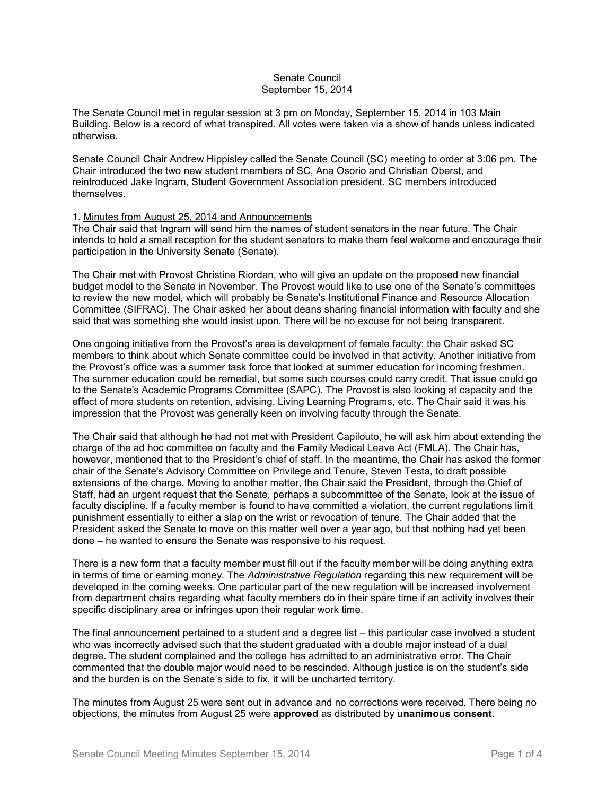# Senate Council September 15, 2014

The Senate Council met in regular session at 3 pm on Monday, September 15, 2014 in 103 Main Building. Below is a record of what transpired. All votes were taken via a show of hands unless indicated otherwise.

Senate Council Chair Andrew Hippisley called the Senate Council (SC) meeting to order at 3:06 pm. The Chair introduced the two new student members of SC, Ana Osorio and Christian Oberst, and reintroduced Jake Ingram, Student Government Association president. SC members introduced themselves.

# 1. Minutes from August 25, 2014 and Announcements

The Chair said that Ingram will send him the names of student senators in the near future. The Chair intends to hold a small reception for the student senators to make them feel welcome and encourage their participation in the University Senate (Senate).

The Chair met with Provost Christine Riordan, who will give an update on the proposed new financial budget model to the Senate in November. The Provost would like to use one of the Senate's committees to review the new model, which will probably be Senate's Institutional Finance and Resource Allocation Committee (SIFRAC). The Chair asked her about deans sharing financial information with faculty and she said that was something she would insist upon. There will be no excuse for not being transparent.

One ongoing initiative from the Provost's area is development of female faculty; the Chair asked SC members to think about which Senate committee could be involved in that activity. Another initiative from the Provost's office was a summer task force that looked at summer education for incoming freshmen. The summer education could be remedial, but some such courses could carry credit. That issue could go to the Senate's Academic Programs Committee (SAPC). The Provost is also looking at capacity and the effect of more students on retention, advising, Living Learning Programs, etc. The Chair said it was his impression that the Provost was generally keen on involving faculty through the Senate.

The Chair said that although he had not met with President Capilouto, he will ask him about extending the charge of the ad hoc committee on faculty and the Family Medical Leave Act (FMLA). The Chair has, however, mentioned that to the President's chief of staff. In the meantime, the Chair has asked the former chair of the Senate's Advisory Committee on Privilege and Tenure, Steven Testa, to draft possible extensions of the charge. Moving to another matter, the Chair said the President, through the Chief of Staff, had an urgent request that the Senate, perhaps a subcommittee of the Senate, look at the issue of faculty discipline. If a faculty member is found to have committed a violation, the current regulations limit punishment essentially to either a slap on the wrist or revocation of tenure. The Chair added that the President asked the Senate to move on this matter well over a year ago, but that nothing had yet been done – he wanted to ensure the Senate was responsive to his request.

There is a new form that a faculty member must fill out if the faculty member will be doing anything extra in terms of time or earning money. The *Administrative Regulation* regarding this new requirement will be developed in the coming weeks. One particular part of the new regulation will be increased involvement from department chairs regarding what faculty members do in their spare time if an activity involves their specific disciplinary area or infringes upon their regular work time.

The final announcement pertained to a student and a degree list – this particular case involved a student who was incorrectly advised such that the student graduated with a double major instead of a dual degree. The student complained and the college has admitted to an administrative error. The Chair commented that the double major would need to be rescinded. Although justice is on the student's side and the burden is on the Senate's side to fix, it will be uncharted territory.

The minutes from August 25 were sent out in advance and no corrections were received. There being no objections, the minutes from August 25 were **approved** as distributed by **unanimous consent**.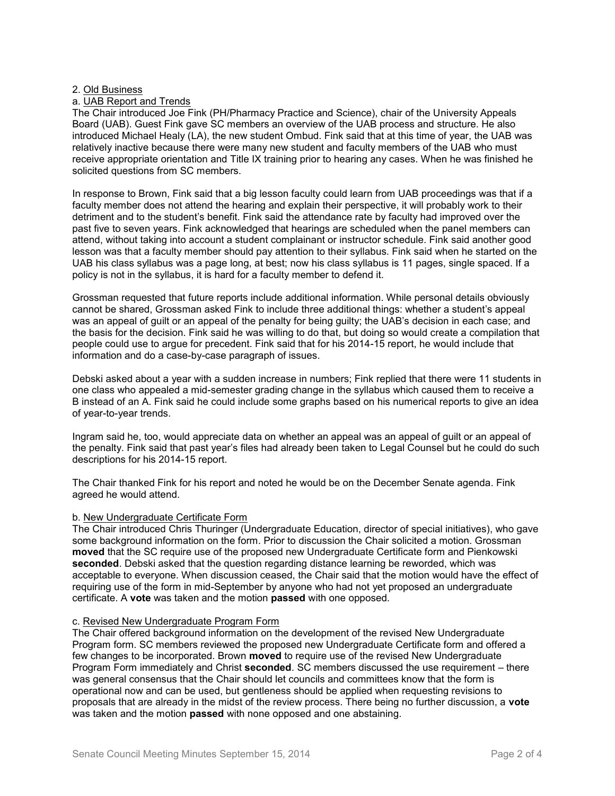#### 2. Old Business

### a. UAB Report and Trends

The Chair introduced Joe Fink (PH/Pharmacy Practice and Science), chair of the University Appeals Board (UAB). Guest Fink gave SC members an overview of the UAB process and structure. He also introduced Michael Healy (LA), the new student Ombud. Fink said that at this time of year, the UAB was relatively inactive because there were many new student and faculty members of the UAB who must receive appropriate orientation and Title IX training prior to hearing any cases. When he was finished he solicited questions from SC members.

In response to Brown, Fink said that a big lesson faculty could learn from UAB proceedings was that if a faculty member does not attend the hearing and explain their perspective, it will probably work to their detriment and to the student's benefit. Fink said the attendance rate by faculty had improved over the past five to seven years. Fink acknowledged that hearings are scheduled when the panel members can attend, without taking into account a student complainant or instructor schedule. Fink said another good lesson was that a faculty member should pay attention to their syllabus. Fink said when he started on the UAB his class syllabus was a page long, at best; now his class syllabus is 11 pages, single spaced. If a policy is not in the syllabus, it is hard for a faculty member to defend it.

Grossman requested that future reports include additional information. While personal details obviously cannot be shared, Grossman asked Fink to include three additional things: whether a student's appeal was an appeal of guilt or an appeal of the penalty for being guilty; the UAB's decision in each case; and the basis for the decision. Fink said he was willing to do that, but doing so would create a compilation that people could use to argue for precedent. Fink said that for his 2014-15 report, he would include that information and do a case-by-case paragraph of issues.

Debski asked about a year with a sudden increase in numbers; Fink replied that there were 11 students in one class who appealed a mid-semester grading change in the syllabus which caused them to receive a B instead of an A. Fink said he could include some graphs based on his numerical reports to give an idea of year-to-year trends.

Ingram said he, too, would appreciate data on whether an appeal was an appeal of guilt or an appeal of the penalty. Fink said that past year's files had already been taken to Legal Counsel but he could do such descriptions for his 2014-15 report.

The Chair thanked Fink for his report and noted he would be on the December Senate agenda. Fink agreed he would attend.

#### b. New Undergraduate Certificate Form

The Chair introduced Chris Thuringer (Undergraduate Education, director of special initiatives), who gave some background information on the form. Prior to discussion the Chair solicited a motion. Grossman **moved** that the SC require use of the proposed new Undergraduate Certificate form and Pienkowski seconded. Debski asked that the question regarding distance learning be reworded, which was acceptable to everyone. When discussion ceased, the Chair said that the motion would have the effect of requiring use of the form in mid-September by anyone who had not yet proposed an undergraduate certificate. A **vote** was taken and the motion **passed** with one opposed.

### c. Revised New Undergraduate Program Form

The Chair offered background information on the development of the revised New Undergraduate Program form. SC members reviewed the proposed new Undergraduate Certificate form and offered a few changes to be incorporated. Brown **moved** to require use of the revised New Undergraduate Program Form immediately and Christ **seconded**. SC members discussed the use requirement – there was general consensus that the Chair should let councils and committees know that the form is operational now and can be used, but gentleness should be applied when requesting revisions to proposals that are already in the midst of the review process. There being no further discussion, a **vote** was taken and the motion **passed** with none opposed and one abstaining.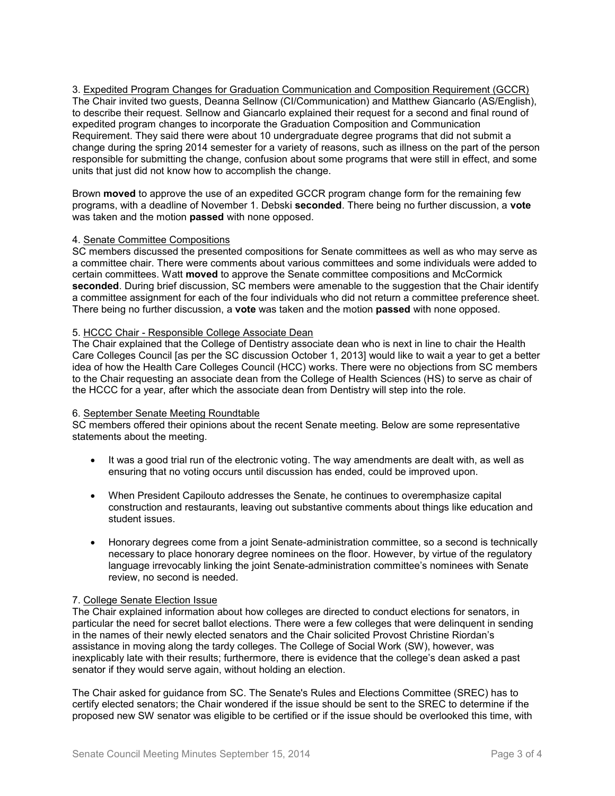3. Expedited Program Changes for Graduation Communication and Composition Requirement (GCCR) The Chair invited two guests, Deanna Sellnow (CI/Communication) and Matthew Giancarlo (AS/English), to describe their request. Sellnow and Giancarlo explained their request for a second and final round of expedited program changes to incorporate the Graduation Composition and Communication Requirement. They said there were about 10 undergraduate degree programs that did not submit a change during the spring 2014 semester for a variety of reasons, such as illness on the part of the person responsible for submitting the change, confusion about some programs that were still in effect, and some units that just did not know how to accomplish the change.

Brown **moved** to approve the use of an expedited GCCR program change form for the remaining few programs, with a deadline of November 1. Debski **seconded**. There being no further discussion, a **vote** was taken and the motion **passed** with none opposed.

# 4. Senate Committee Compositions

SC members discussed the presented compositions for Senate committees as well as who may serve as a committee chair. There were comments about various committees and some individuals were added to certain committees. Watt **moved** to approve the Senate committee compositions and McCormick **seconded**. During brief discussion, SC members were amenable to the suggestion that the Chair identify a committee assignment for each of the four individuals who did not return a committee preference sheet. There being no further discussion, a **vote** was taken and the motion **passed** with none opposed.

#### 5. HCCC Chair - Responsible College Associate Dean

The Chair explained that the College of Dentistry associate dean who is next in line to chair the Health Care Colleges Council [as per the SC discussion October 1, 2013] would like to wait a year to get a better idea of how the Health Care Colleges Council (HCC) works. There were no objections from SC members to the Chair requesting an associate dean from the College of Health Sciences (HS) to serve as chair of the HCCC for a year, after which the associate dean from Dentistry will step into the role.

# 6. September Senate Meeting Roundtable

SC members offered their opinions about the recent Senate meeting. Below are some representative statements about the meeting.

- It was a good trial run of the electronic voting. The way amendments are dealt with, as well as ensuring that no voting occurs until discussion has ended, could be improved upon.
- When President Capilouto addresses the Senate, he continues to overemphasize capital construction and restaurants, leaving out substantive comments about things like education and student issues.
- Honorary degrees come from a joint Senate-administration committee, so a second is technically necessary to place honorary degree nominees on the floor. However, by virtue of the regulatory language irrevocably linking the joint Senate-administration committee's nominees with Senate review, no second is needed.

# 7. College Senate Election Issue

The Chair explained information about how colleges are directed to conduct elections for senators, in particular the need for secret ballot elections. There were a few colleges that were delinquent in sending in the names of their newly elected senators and the Chair solicited Provost Christine Riordan's assistance in moving along the tardy colleges. The College of Social Work (SW), however, was inexplicably late with their results; furthermore, there is evidence that the college's dean asked a past senator if they would serve again, without holding an election.

The Chair asked for guidance from SC. The Senate's Rules and Elections Committee (SREC) has to certify elected senators; the Chair wondered if the issue should be sent to the SREC to determine if the proposed new SW senator was eligible to be certified or if the issue should be overlooked this time, with